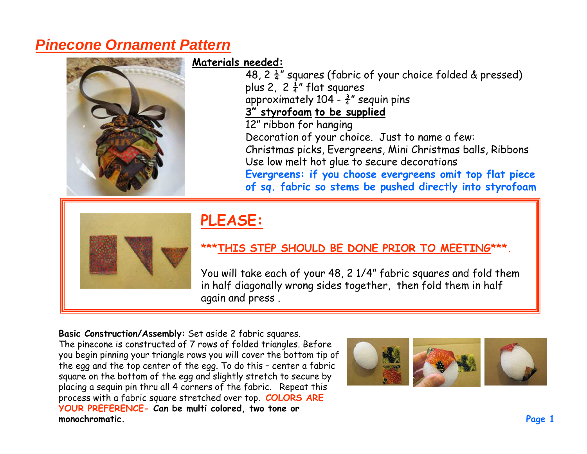## **Pinecone Ornament Pattern**



**Materials needed:**

48, 2  $\frac{1}{4}$ " squares (fabric of your choice folded & pressed) plus 2,  $2\frac{1}{4}$ " flat squares approximately 104 -  $\frac{3}{4}$ " sequin pins **3" styrofoam to be supplied**12" ribbon for hanging Decoration of your choice. Just to name a few: Christmas picks, Evergreens, Mini Christmas balls, Ribbons Use low melt hot glue to secure decorations **Evergreens: if you choose evergreens omit top flat piece of sq. fabric so stems be pushed directly into styrofoam**



## **PLEASE:**

## **\*\*\*THIS STEP SHOULD BE DONE PRIOR TO MEETING\*\*\*.**

You will take each of your 48, 2 1/4" fabric squares and fold them in half diagonally wrong sides together, then fold them in half again and press .

**Basic Construction/Assembly:** Set aside 2 fabric squares.

The pinecone is constructed of 7 rows of folded triangles. Before you begin pinning your triangle rows you will cover the bottom tip of the egg and the top center of the egg. To do this – center a fabric square on the bottom of the egg and slightly stretch to secure by placing a sequin pin thru all 4 corners of the fabric. Repeat this process with a fabric square stretched over top. **COLORS ARE YOUR PREFERENCE- Can be multi colored, two tone or monochromatic.** 

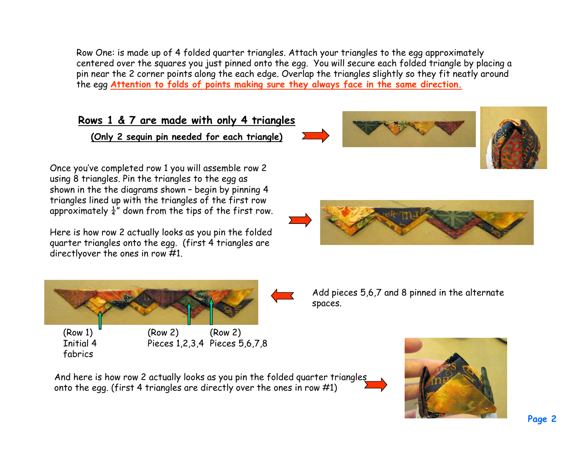Row One: is made up of 4 folded quarter triangles. Attach your triangles to the egg approximately centered over the squares you just pinned onto the egg. You will secure each folded triangle by placing a pin near the 2 corner points along the each edge. Overlap the triangles slightly so they fit neatly around the egg **Attention to folds of points making sure they always face in the same direction.**

## **Rows 1 & 7 are made with only 4 triangles**

**(Only 2 sequin pin needed for each triangle)**

Once you've completed row 1 you will assemble row 2 using 8 triangles. Pin the triangles to the egg as shown in the the diagrams shown – begin by pinning 4 triangles lined up with the triangles of the first row approximately  $\frac{1}{4}$ " down from the tips of the first row.

Here is how row 2 actually looks as you pin the folded quarter triangles onto the egg. (first 4 triangles are directlyover the ones in row #1.



(Row 1) Initial 4 fabrics





Add pieces 5,6,7 and 8 pinned in the alternate spaces.

And here is how row 2 actually looks as you pin the folded quarter triangles onto the egg. (first 4 triangles are directly over the ones in row #1)